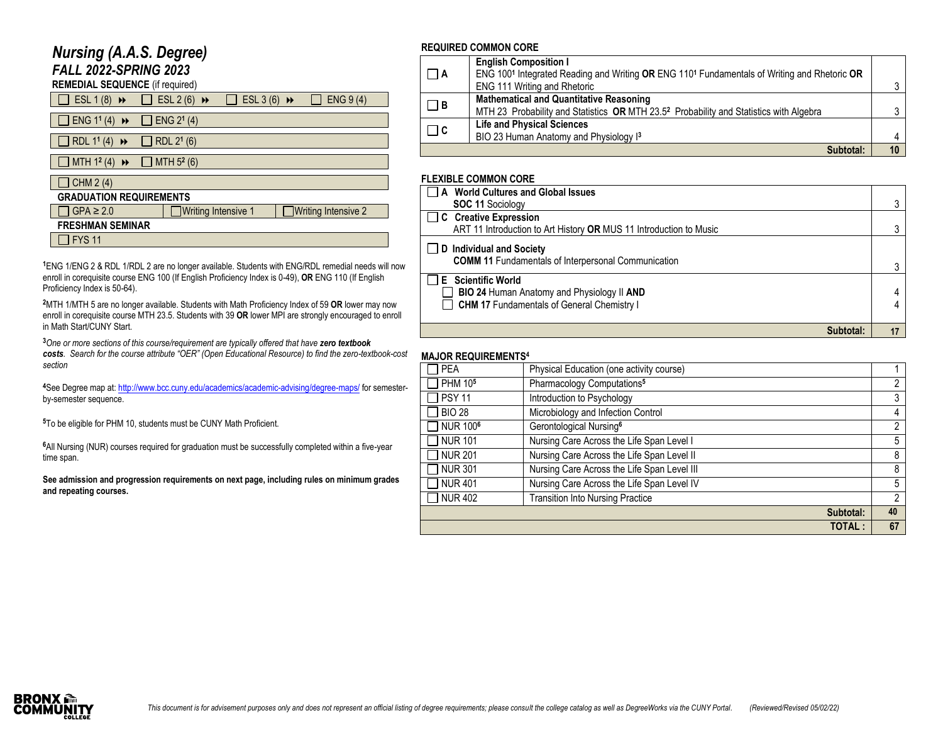# *Nursing (A.A.S. Degree)*

*FALL 2022-SPRING 2023*

| <b>REMEDIAL SEQUENCE</b> (if required) |
|----------------------------------------|
|----------------------------------------|

| ESL $1(8)$ $\rightarrow$                               | $\Box$ ESL 2 (6) $\rightarrow$ | ESL 3 (6) $\rightarrow$ |  | ENG 9(4)                   |  |
|--------------------------------------------------------|--------------------------------|-------------------------|--|----------------------------|--|
| $\exists$ ENG 1 <sup>1</sup> (4) $\leftrightarrow$     | $\Box$ ENG 2 <sup>1</sup> (4)  |                         |  |                            |  |
| $\Box$ RDL 1 <sup>1</sup> (4)<br>$\blacktriangleright$ | $\Box$ RDL 2 <sup>1</sup> (6)  |                         |  |                            |  |
| $\Box$ MTH 1 <sup>2</sup> (4)<br>$\blacktriangleright$ | $\Box$ MTH 5 <sup>2</sup> (6)  |                         |  |                            |  |
| CHM 2 (4)                                              |                                |                         |  |                            |  |
| <b>GRADUATION REQUIREMENTS</b>                         |                                |                         |  |                            |  |
| $]$ GPA $\geq 2.0$                                     | Writing Intensive 1            |                         |  | $\Box$ Writing Intensive 2 |  |
| <b>FRESHMAN SEMINAR</b>                                |                                |                         |  |                            |  |
| <b>FYS 11</b>                                          |                                |                         |  |                            |  |

**<sup>1</sup>**ENG 1/ENG 2 & RDL 1/RDL 2 are no longer available. Students with ENG/RDL remedial needs will now enroll in corequisite course ENG 100 (If English Proficiency Index is 0-49), **OR** ENG 110 (If English Proficiency Index is 50-64).

**<sup>2</sup>**MTH 1/MTH 5 are no longer available. Students with Math Proficiency Index of 59 **OR** lower may now enroll in corequisite course MTH 23.5. Students with 39 **OR** lower MPI are strongly encouraged to enroll in Math Start/CUNY Start.

**<sup>3</sup>***One or more sections of this course/requirement are typically offered that have zero textbook costs. Search for the course attribute "OER" (Open Educational Resource) to find the zero-textbook-cost section*

**<sup>4</sup>**See Degree map at[: http://www.bcc.cuny.edu/academics/academic-advising/degree-maps/](http://www.bcc.cuny.edu/academics/academic-advising/degree-maps/) for semesterby-semester sequence.

**<sup>5</sup>**To be eligible for PHM 10, students must be CUNY Math Proficient.

**<sup>6</sup>**All Nursing (NUR) courses required for graduation must be successfully completed within a five-year time span.

**See admission and progression requirements on next page, including rules on minimum grades and repeating courses.**

#### **REQUIRED COMMON CORE**

|          | <b>English Composition I</b>                                                                       |  |
|----------|----------------------------------------------------------------------------------------------------|--|
| $\Box$ A | ENG 1001 Integrated Reading and Writing OR ENG 1101 Fundamentals of Writing and Rhetoric OR        |  |
|          | ENG 111 Writing and Rhetoric                                                                       |  |
| $\Box$ B | <b>Mathematical and Quantitative Reasoning</b>                                                     |  |
|          | MTH 23 Probability and Statistics OR MTH 23.5 <sup>2</sup> Probability and Statistics with Algebra |  |
| $\Box$ C | <b>Life and Physical Sciences</b>                                                                  |  |
|          | BIO 23 Human Anatomy and Physiology I3                                                             |  |
|          | Subtotal:                                                                                          |  |

### **FLEXIBLE COMMON CORE**

| A World Cultures and Global Issues                                                                                      |   |
|-------------------------------------------------------------------------------------------------------------------------|---|
| <b>SOC 11 Sociology</b>                                                                                                 | 3 |
| C Creative Expression                                                                                                   |   |
| ART 11 Introduction to Art History OR MUS 11 Introduction to Music                                                      |   |
| D Individual and Society<br><b>COMM 11 Fundamentals of Interpersonal Communication</b>                                  |   |
| □ E Scientific World<br>BIO 24 Human Anatomy and Physiology II AND<br><b>CHM 17 Fundamentals of General Chemistry I</b> |   |
| Subtotal:                                                                                                               |   |

#### **MAJOR REQUIREMENTS 4**

| MAYOR REWORLDILITI  |                                             |    |
|---------------------|---------------------------------------------|----|
| <b>PEA</b>          | Physical Education (one activity course)    |    |
| PHM 10 <sup>5</sup> | Pharmacology Computations <sup>5</sup>      | 2  |
| <b>PSY 11</b>       | Introduction to Psychology                  | 3  |
| <b>BIO 28</b>       | Microbiology and Infection Control          | 4  |
| <b>NUR 1006</b>     | Gerontological Nursing <sup>6</sup>         | 2  |
| <b>NUR 101</b>      | Nursing Care Across the Life Span Level I   | 5  |
| <b>NUR 201</b>      | Nursing Care Across the Life Span Level II  | 8  |
| <b>NUR 301</b>      | Nursing Care Across the Life Span Level III | 8  |
| <b>NUR 401</b>      | Nursing Care Across the Life Span Level IV  | 5  |
| <b>NUR 402</b>      | <b>Transition Into Nursing Practice</b>     | 2  |
|                     | Subtotal:                                   | 40 |
|                     | <b>TOTAL:</b>                               | 67 |